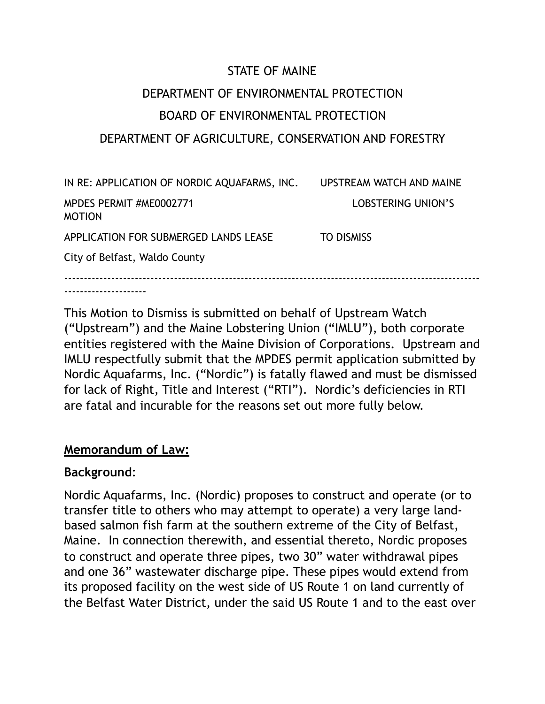# STATE OF MAINE DEPARTMENT OF ENVIRONMENTAL PROTECTION BOARD OF ENVIRONMENTAL PROTECTION DEPARTMENT OF AGRICULTURE, CONSERVATION AND FORESTRY

| IN RE: APPLICATION OF NORDIC AQUAFARMS, INC. | UPSTREAM WATCH AND MAINE |  |
|----------------------------------------------|--------------------------|--|
| MPDES PERMIT #ME0002771<br><b>MOTION</b>     | LOBSTERING UNION'S       |  |
| APPLICATION FOR SUBMERGED LANDS LEASE        | <b>TO DISMISS</b>        |  |
| City of Belfast, Waldo County                |                          |  |
|                                              |                          |  |

This Motion to Dismiss is submitted on behalf of Upstream Watch ("Upstream") and the Maine Lobstering Union ("IMLU"), both corporate entities registered with the Maine Division of Corporations. Upstream and IMLU respectfully submit that the MPDES permit application submitted by Nordic Aquafarms, Inc. ("Nordic") is fatally flawed and must be dismissed for lack of Right, Title and Interest ("RTI"). Nordic's deficiencies in RTI are fatal and incurable for the reasons set out more fully below.

## **Memorandum of Law:**

## **Background**:

---------------------

Nordic Aquafarms, Inc. (Nordic) proposes to construct and operate (or to transfer title to others who may attempt to operate) a very large landbased salmon fish farm at the southern extreme of the City of Belfast, Maine. In connection therewith, and essential thereto, Nordic proposes to construct and operate three pipes, two 30" water withdrawal pipes and one 36" wastewater discharge pipe. These pipes would extend from its proposed facility on the west side of US Route 1 on land currently of the Belfast Water District, under the said US Route 1 and to the east over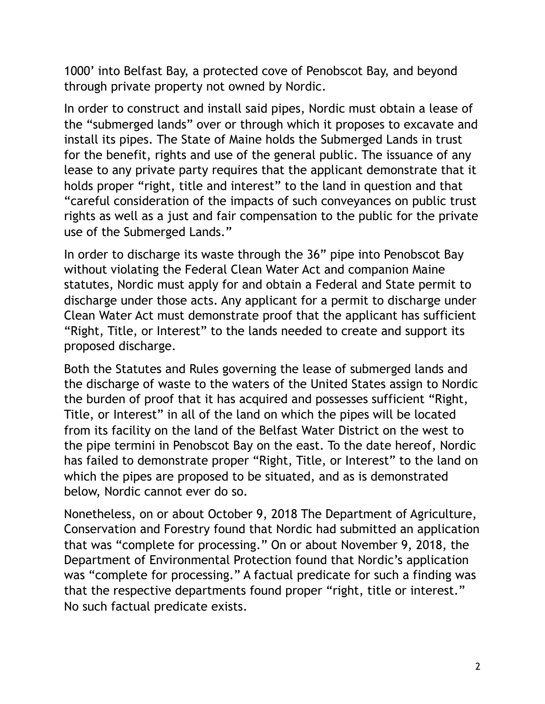1000' into Belfast Bay, a protected cove of Penobscot Bay, and beyond through private property not owned by Nordic.

In order to construct and install said pipes, Nordic must obtain a lease of the "submerged lands" over or through which it proposes to excavate and install its pipes. The State of Maine holds the Submerged Lands in trust for the benefit, rights and use of the general public. The issuance of any lease to any private party requires that the applicant demonstrate that it holds proper "right, title and interest" to the land in question and that "careful consideration of the impacts of such conveyances on public trust rights as well as a just and fair compensation to the public for the private use of the Submerged Lands."

In order to discharge its waste through the 36" pipe into Penobscot Bay without violating the Federal Clean Water Act and companion Maine statutes, Nordic must apply for and obtain a Federal and State permit to discharge under those acts. Any applicant for a permit to discharge under Clean Water Act must demonstrate proof that the applicant has sufficient "Right, Title, or Interest" to the lands needed to create and support its proposed discharge.

Both the Statutes and Rules governing the lease of submerged lands and the discharge of waste to the waters of the United States assign to Nordic the burden of proof that it has acquired and possesses sufficient "Right, Title, or Interest" in all of the land on which the pipes will be located from its facility on the land of the Belfast Water District on the west to the pipe termini in Penobscot Bay on the east. To the date hereof, Nordic has failed to demonstrate proper "Right, Title, or Interest" to the land on which the pipes are proposed to be situated, and as is demonstrated below, Nordic cannot ever do so.

Nonetheless, on or about October 9, 2018 The Department of Agriculture, Conservation and Forestry found that Nordic had submitted an application that was "complete for processing." On or about November 9, 2018, the Department of Environmental Protection found that Nordic's application was "complete for processing." A factual predicate for such a finding was that the respective departments found proper "right, title or interest." No such factual predicate exists.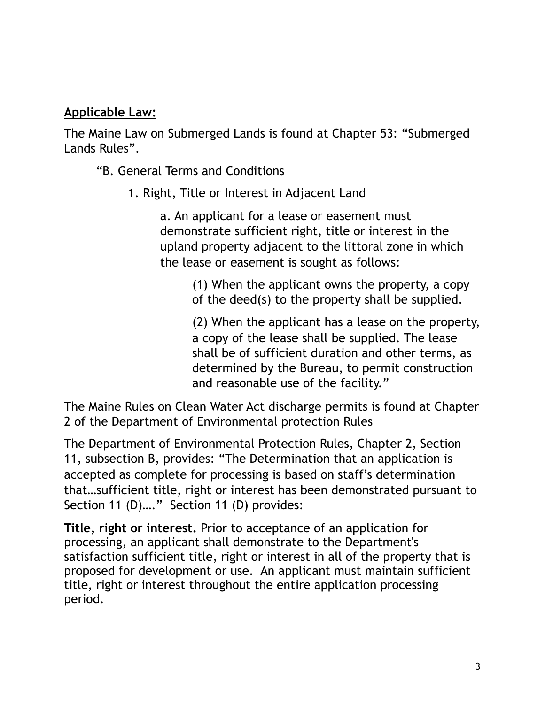## **Applicable Law:**

The Maine Law on Submerged Lands is found at Chapter 53: "Submerged Lands Rules".

"B. General Terms and Conditions

1. Right, Title or Interest in Adjacent Land

a. An applicant for a lease or easement must demonstrate sufficient right, title or interest in the upland property adjacent to the littoral zone in which the lease or easement is sought as follows:

> (1) When the applicant owns the property, a copy of the deed(s) to the property shall be supplied.

(2) When the applicant has a lease on the property, a copy of the lease shall be supplied. The lease shall be of sufficient duration and other terms, as determined by the Bureau, to permit construction and reasonable use of the facility."

The Maine Rules on Clean Water Act discharge permits is found at Chapter 2 of the Department of Environmental protection Rules

The Department of Environmental Protection Rules, Chapter 2, Section 11, subsection B, provides: "The Determination that an application is accepted as complete for processing is based on staff's determination that…sufficient title, right or interest has been demonstrated pursuant to Section 11 (D)...." Section 11 (D) provides:

**Title, right or interest.** Prior to acceptance of an application for processing, an applicant shall demonstrate to the Department's satisfaction sufficient title, right or interest in all of the property that is proposed for development or use. An applicant must maintain sufficient title, right or interest throughout the entire application processing period.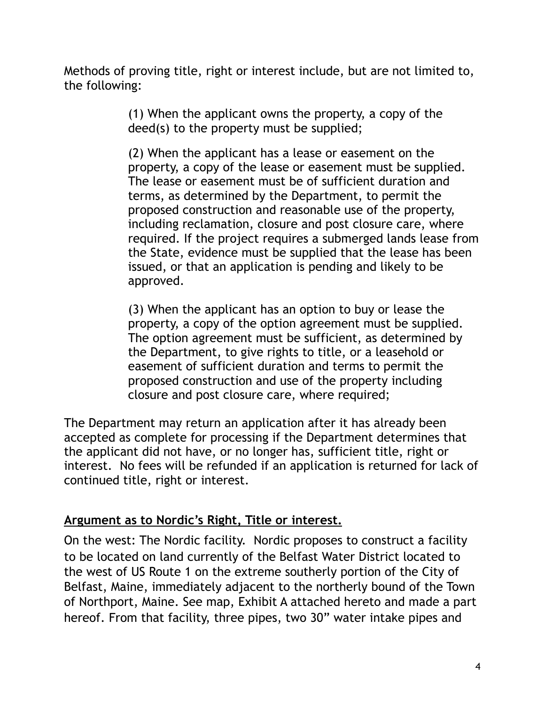Methods of proving title, right or interest include, but are not limited to, the following:

> (1) When the applicant owns the property, a copy of the deed(s) to the property must be supplied;

(2) When the applicant has a lease or easement on the property, a copy of the lease or easement must be supplied. The lease or easement must be of sufficient duration and terms, as determined by the Department, to permit the proposed construction and reasonable use of the property, including reclamation, closure and post closure care, where required. If the project requires a submerged lands lease from the State, evidence must be supplied that the lease has been issued, or that an application is pending and likely to be approved.

(3) When the applicant has an option to buy or lease the property, a copy of the option agreement must be supplied. The option agreement must be sufficient, as determined by the Department, to give rights to title, or a leasehold or easement of sufficient duration and terms to permit the proposed construction and use of the property including closure and post closure care, where required;

The Department may return an application after it has already been accepted as complete for processing if the Department determines that the applicant did not have, or no longer has, sufficient title, right or interest. No fees will be refunded if an application is returned for lack of continued title, right or interest.

## **Argument as to Nordic's Right, Title or interest.**

On the west: The Nordic facility. Nordic proposes to construct a facility to be located on land currently of the Belfast Water District located to the west of US Route 1 on the extreme southerly portion of the City of Belfast, Maine, immediately adjacent to the northerly bound of the Town of Northport, Maine. See map, Exhibit A attached hereto and made a part hereof. From that facility, three pipes, two 30" water intake pipes and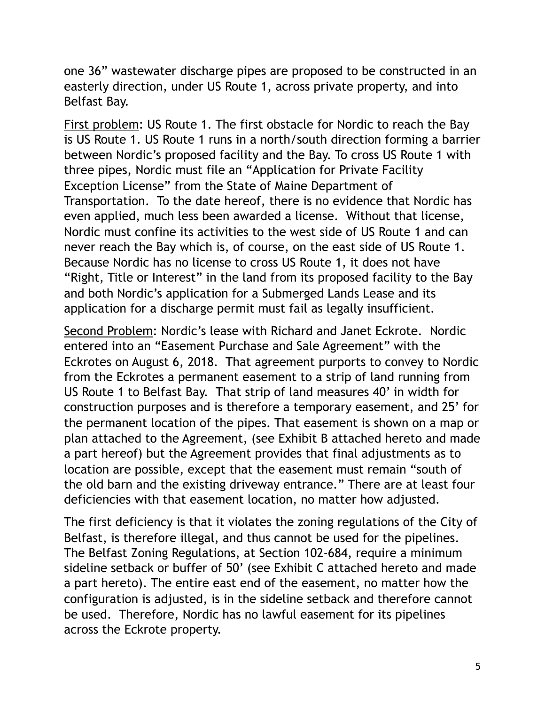one 36" wastewater discharge pipes are proposed to be constructed in an easterly direction, under US Route 1, across private property, and into Belfast Bay.

First problem: US Route 1. The first obstacle for Nordic to reach the Bay is US Route 1. US Route 1 runs in a north/south direction forming a barrier between Nordic's proposed facility and the Bay. To cross US Route 1 with three pipes, Nordic must file an "Application for Private Facility Exception License" from the State of Maine Department of Transportation. To the date hereof, there is no evidence that Nordic has even applied, much less been awarded a license. Without that license, Nordic must confine its activities to the west side of US Route 1 and can never reach the Bay which is, of course, on the east side of US Route 1. Because Nordic has no license to cross US Route 1, it does not have "Right, Title or Interest" in the land from its proposed facility to the Bay and both Nordic's application for a Submerged Lands Lease and its application for a discharge permit must fail as legally insufficient.

Second Problem: Nordic's lease with Richard and Janet Eckrote. Nordic entered into an "Easement Purchase and Sale Agreement" with the Eckrotes on August 6, 2018. That agreement purports to convey to Nordic from the Eckrotes a permanent easement to a strip of land running from US Route 1 to Belfast Bay. That strip of land measures 40' in width for construction purposes and is therefore a temporary easement, and 25' for the permanent location of the pipes. That easement is shown on a map or plan attached to the Agreement, (see Exhibit B attached hereto and made a part hereof) but the Agreement provides that final adjustments as to location are possible, except that the easement must remain "south of the old barn and the existing driveway entrance." There are at least four deficiencies with that easement location, no matter how adjusted.

The first deficiency is that it violates the zoning regulations of the City of Belfast, is therefore illegal, and thus cannot be used for the pipelines. The Belfast Zoning Regulations, at Section 102-684, require a minimum sideline setback or buffer of 50' (see Exhibit C attached hereto and made a part hereto). The entire east end of the easement, no matter how the configuration is adjusted, is in the sideline setback and therefore cannot be used. Therefore, Nordic has no lawful easement for its pipelines across the Eckrote property.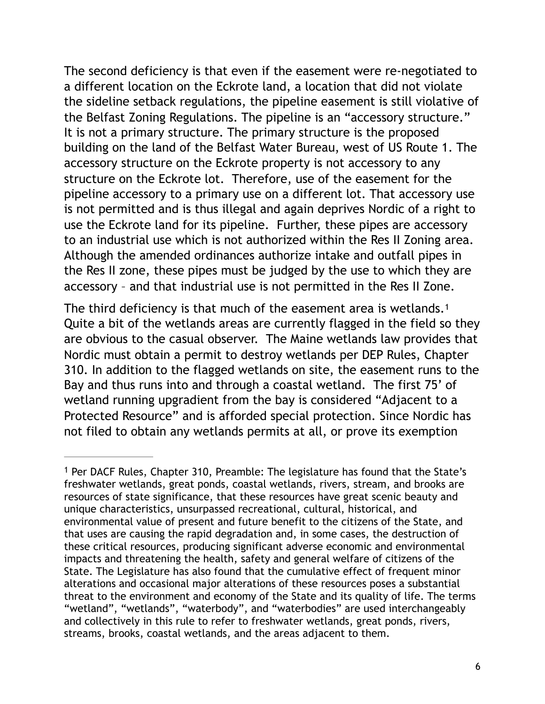The second deficiency is that even if the easement were re-negotiated to a different location on the Eckrote land, a location that did not violate the sideline setback regulations, the pipeline easement is still violative of the Belfast Zoning Regulations. The pipeline is an "accessory structure." It is not a primary structure. The primary structure is the proposed building on the land of the Belfast Water Bureau, west of US Route 1. The accessory structure on the Eckrote property is not accessory to any structure on the Eckrote lot. Therefore, use of the easement for the pipeline accessory to a primary use on a different lot. That accessory use is not permitted and is thus illegal and again deprives Nordic of a right to use the Eckrote land for its pipeline. Further, these pipes are accessory to an industrial use which is not authorized within the Res II Zoning area. Although the amended ordinances authorize intake and outfall pipes in the Res II zone, these pipes must be judged by the use to which they are accessory – and that industrial use is not permitted in the Res II Zone.

<span id="page-5-1"></span>The third deficiency is that much of the easement area is wetlands.<sup>[1](#page-5-0)</sup> Quite a bit of the wetlands areas are currently flagged in the field so they are obvious to the casual observer. The Maine wetlands law provides that Nordic must obtain a permit to destroy wetlands per DEP Rules, Chapter 310. In addition to the flagged wetlands on site, the easement runs to the Bay and thus runs into and through a coastal wetland. The first 75' of wetland running upgradient from the bay is considered "Adjacent to a Protected Resource" and is afforded special protection. Since Nordic has not filed to obtain any wetlands permits at all, or prove its exemption

<span id="page-5-0"></span><sup>&</sup>lt;sup>1</sup>Per DACF Rules, Chapter 3[1](#page-5-1)0, Preamble: The legislature has found that the State's freshwater wetlands, great ponds, coastal wetlands, rivers, stream, and brooks are resources of state significance, that these resources have great scenic beauty and unique characteristics, unsurpassed recreational, cultural, historical, and environmental value of present and future benefit to the citizens of the State, and that uses are causing the rapid degradation and, in some cases, the destruction of these critical resources, producing significant adverse economic and environmental impacts and threatening the health, safety and general welfare of citizens of the State. The Legislature has also found that the cumulative effect of frequent minor alterations and occasional major alterations of these resources poses a substantial threat to the environment and economy of the State and its quality of life. The terms "wetland", "wetlands", "waterbody", and "waterbodies" are used interchangeably and collectively in this rule to refer to freshwater wetlands, great ponds, rivers, streams, brooks, coastal wetlands, and the areas adjacent to them.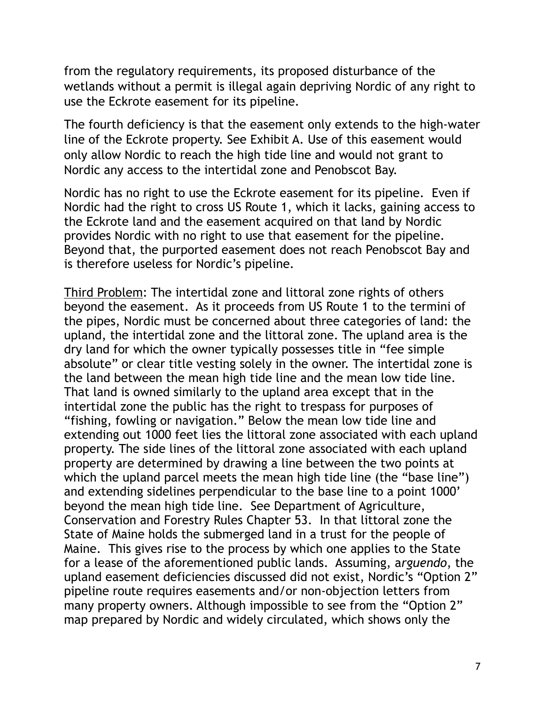from the regulatory requirements, its proposed disturbance of the wetlands without a permit is illegal again depriving Nordic of any right to use the Eckrote easement for its pipeline.

The fourth deficiency is that the easement only extends to the high-water line of the Eckrote property. See Exhibit A. Use of this easement would only allow Nordic to reach the high tide line and would not grant to Nordic any access to the intertidal zone and Penobscot Bay.

Nordic has no right to use the Eckrote easement for its pipeline. Even if Nordic had the right to cross US Route 1, which it lacks, gaining access to the Eckrote land and the easement acquired on that land by Nordic provides Nordic with no right to use that easement for the pipeline. Beyond that, the purported easement does not reach Penobscot Bay and is therefore useless for Nordic's pipeline.

Third Problem: The intertidal zone and littoral zone rights of others beyond the easement. As it proceeds from US Route 1 to the termini of the pipes, Nordic must be concerned about three categories of land: the upland, the intertidal zone and the littoral zone. The upland area is the dry land for which the owner typically possesses title in "fee simple absolute" or clear title vesting solely in the owner. The intertidal zone is the land between the mean high tide line and the mean low tide line. That land is owned similarly to the upland area except that in the intertidal zone the public has the right to trespass for purposes of "fishing, fowling or navigation." Below the mean low tide line and extending out 1000 feet lies the littoral zone associated with each upland property. The side lines of the littoral zone associated with each upland property are determined by drawing a line between the two points at which the upland parcel meets the mean high tide line (the "base line") and extending sidelines perpendicular to the base line to a point 1000' beyond the mean high tide line. See Department of Agriculture, Conservation and Forestry Rules Chapter 53. In that littoral zone the State of Maine holds the submerged land in a trust for the people of Maine. This gives rise to the process by which one applies to the State for a lease of the aforementioned public lands. Assuming, a*rguendo*, the upland easement deficiencies discussed did not exist, Nordic's "Option 2" pipeline route requires easements and/or non-objection letters from many property owners. Although impossible to see from the "Option 2" map prepared by Nordic and widely circulated, which shows only the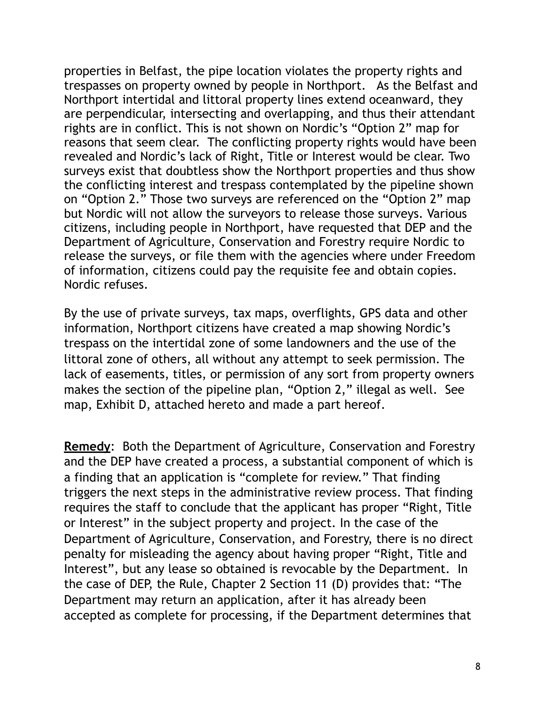properties in Belfast, the pipe location violates the property rights and trespasses on property owned by people in Northport. As the Belfast and Northport intertidal and littoral property lines extend oceanward, they are perpendicular, intersecting and overlapping, and thus their attendant rights are in conflict. This is not shown on Nordic's "Option 2" map for reasons that seem clear. The conflicting property rights would have been revealed and Nordic's lack of Right, Title or Interest would be clear. Two surveys exist that doubtless show the Northport properties and thus show the conflicting interest and trespass contemplated by the pipeline shown on "Option 2." Those two surveys are referenced on the "Option 2" map but Nordic will not allow the surveyors to release those surveys. Various citizens, including people in Northport, have requested that DEP and the Department of Agriculture, Conservation and Forestry require Nordic to release the surveys, or file them with the agencies where under Freedom of information, citizens could pay the requisite fee and obtain copies. Nordic refuses.

By the use of private surveys, tax maps, overflights, GPS data and other information, Northport citizens have created a map showing Nordic's trespass on the intertidal zone of some landowners and the use of the littoral zone of others, all without any attempt to seek permission. The lack of easements, titles, or permission of any sort from property owners makes the section of the pipeline plan, "Option 2," illegal as well. See map, Exhibit D, attached hereto and made a part hereof.

**Remedy**: Both the Department of Agriculture, Conservation and Forestry and the DEP have created a process, a substantial component of which is a finding that an application is "complete for review." That finding triggers the next steps in the administrative review process. That finding requires the staff to conclude that the applicant has proper "Right, Title or Interest" in the subject property and project. In the case of the Department of Agriculture, Conservation, and Forestry, there is no direct penalty for misleading the agency about having proper "Right, Title and Interest", but any lease so obtained is revocable by the Department. In the case of DEP, the Rule, Chapter 2 Section 11 (D) provides that: "The Department may return an application, after it has already been accepted as complete for processing, if the Department determines that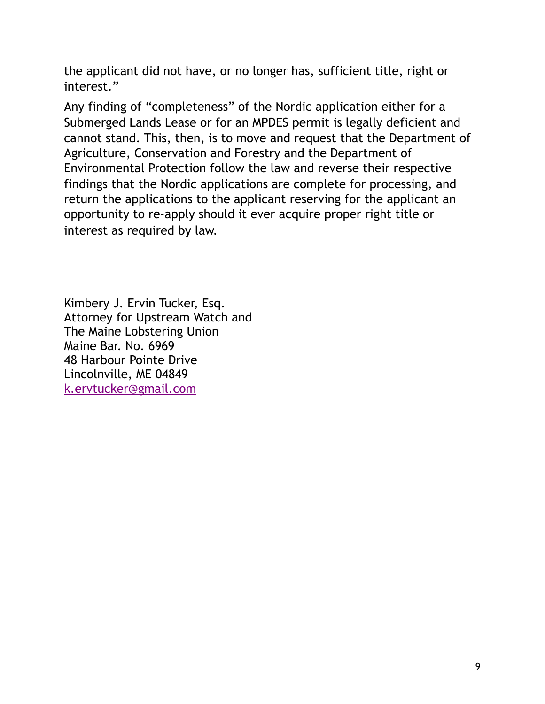the applicant did not have, or no longer has, sufficient title, right or interest."

Any finding of "completeness" of the Nordic application either for a Submerged Lands Lease or for an MPDES permit is legally deficient and cannot stand. This, then, is to move and request that the Department of Agriculture, Conservation and Forestry and the Department of Environmental Protection follow the law and reverse their respective findings that the Nordic applications are complete for processing, and return the applications to the applicant reserving for the applicant an opportunity to re-apply should it ever acquire proper right title or interest as required by law.

Kimbery J. Ervin Tucker, Esq. Attorney for Upstream Watch and The Maine Lobstering Union Maine Bar. No. 6969 48 Harbour Pointe Drive Lincolnville, ME 04849 [k.ervtucker@gmail.com](mailto:k.ervtucker@gmail.com)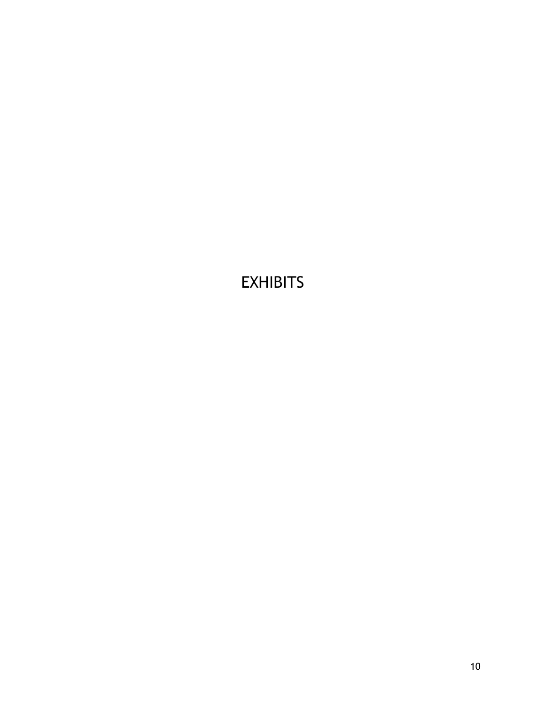# **EXHIBITS**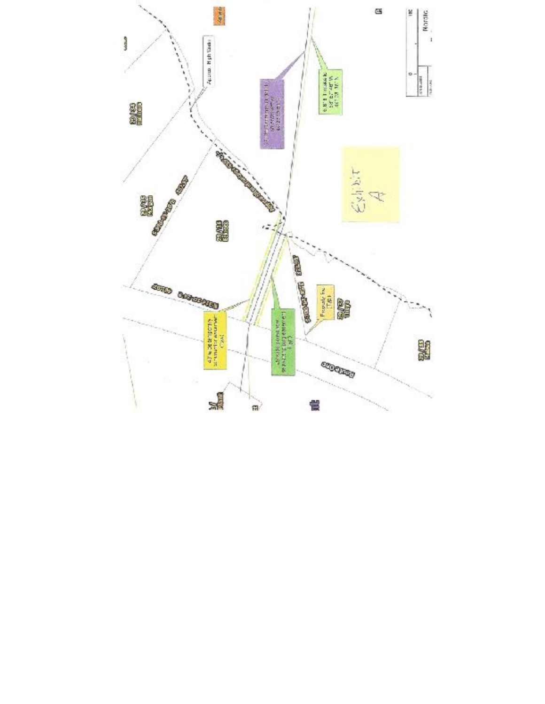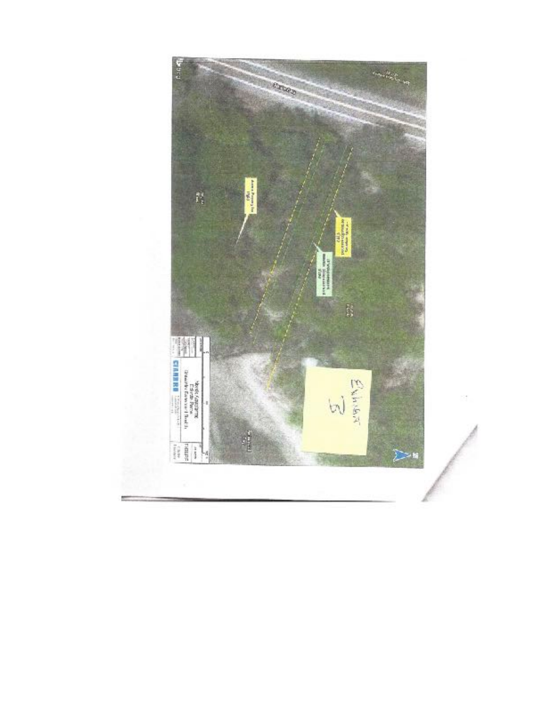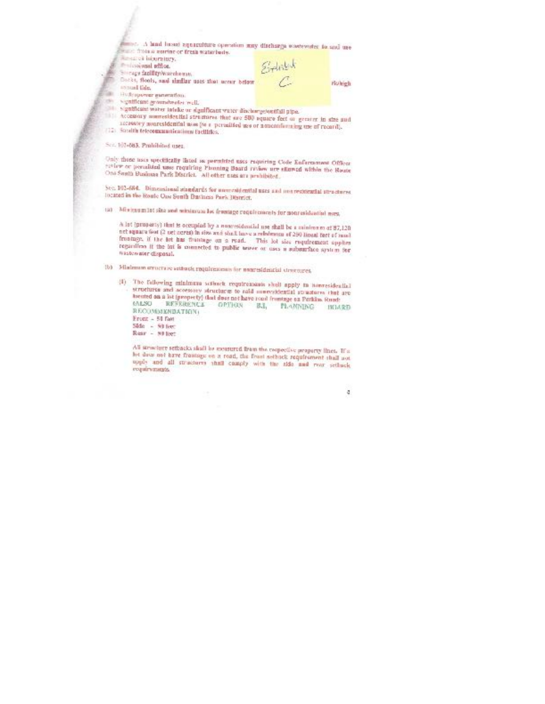| minist. A hand lussed apparentment operation may discharge wasteworker for and use<br>The finish contine of fresh waterbody. |         |  |
|------------------------------------------------------------------------------------------------------------------------------|---------|--|
| <b>RESERVED IN AUTHOR</b><br><b><i><u>Emissional</u></i></b> addoe.                                                          |         |  |
| interesting should be addressed at a support-                                                                                | $B + b$ |  |

Startage facility/worehouse.

- Docks, floods, said similar uses that accur below sonual fide.
- 

×

- Hydropower ganeration. significant groundwater well.
- 

significant water totelse or significant water disclomy-tootfall pipe.

Accessory numeridential structures that say 500 equate feet or greater in size and accessory nonresidential non (to a permitted use of noncomforming use of record). [12] Socialth telecommunications fuelfities.

Sec. 101-683. Pmhihited uses.

Unity those uses specifically listed as permitted uses requiring Code Enforcement Officer ration or perceited uses requiring Planning Beard ration are stored within the Rests One South Business Park District. All other uses are prohibited.

Sec. 102-684. Dimensional standards for unorcal/ential uses and nonrestocatial structures incated in the Ronic One Sunth Business Park District.

(a) Minimum list site and minimum be fromage requirements for nonresidential next.

A let (property) that is occupied by a nonresidential use shall be a minimum of 87,120 net square fest (2 net nereo in size and shall have a relations of 250 lineal feet of most frontage, if the lot has frantage on a road. This lot size requirement applies regardless if the lat is connected to public tensor or uses a substantiace system for wastervator disposal.

(b) Minhmum errortwre setback requirements for materialmental structures.

(f) The following minimum seriorsk requirements shall apply to nonresidential structures and accessory structures to said more-idential structures that are toroted an a lot (property) that does not have road frontage an Perkim. Road: 031.50 REFERENCE OPTION  $B.3$ MANNING **INLARD** RECOMMENDATION: Front - 51 feet

 $\begin{array}{ll} \text{Sfde} & = & \text{Sff} \text{fsec} \\ \text{Rear} & = & \text{Sff} \text{fsec} \end{array}$ 

All structure settiacks shall be recurred from the respective property lines. If a lot date not have framings on a road, the front sethnet requirement shall not upply and all structures shall comply with the side and rear sethuck roquirvments.

đ

**Holigh**